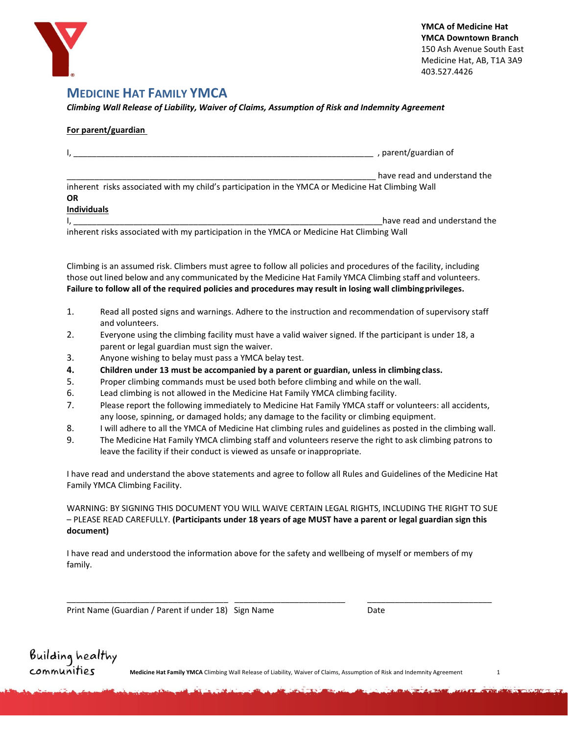

## **MEDICINE HAT FAMILY YMCA**

*Climbing Wall Release of Liability, Waiver of Claims, Assumption of Risk and Indemnity Agreement*

### **For parent/guardian**

|                                                                                                   | , parent/guardian of         |
|---------------------------------------------------------------------------------------------------|------------------------------|
|                                                                                                   | have read and understand the |
| inherent risks associated with my child's participation in the YMCA or Medicine Hat Climbing Wall |                              |
| <b>OR</b>                                                                                         |                              |
| <b>Individuals</b>                                                                                |                              |
|                                                                                                   | have read and understand the |
| inherent risks associated with my participation in the YMCA or Medicine Hat Climbing Wall         |                              |

Climbing is an assumed risk. Climbers must agree to follow all policies and procedures of the facility, including those out lined below and any communicated by the Medicine Hat Family YMCA Climbing staff and volunteers. **Failure to follow all of the required policies and procedures may result in losing wall climbingprivileges.** 

- 1. Read all posted signs and warnings. Adhere to the instruction and recommendation of supervisory staff and volunteers.
- 2. Everyone using the climbing facility must have a valid waiver signed. If the participant is under 18, a parent or legal guardian must sign the waiver.
- 3. Anyone wishing to belay must pass a YMCA belay test.
- **4. Children under 13 must be accompanied by a parent or guardian, unless in climbing class.**
- 5. Proper climbing commands must be used both before climbing and while on the wall.
- 6. Lead climbing is not allowed in the Medicine Hat Family YMCA climbing facility.
- 7. Please report the following immediately to Medicine Hat Family YMCA staff or volunteers: all accidents, any loose, spinning, or damaged holds; any damage to the facility or climbing equipment.
- 8. I will adhere to all the YMCA of Medicine Hat climbing rules and guidelines as posted in the climbing wall.
- 9. The Medicine Hat Family YMCA climbing staff and volunteers reserve the right to ask climbing patrons to leave the facility if their conduct is viewed as unsafe or inappropriate.

I have read and understand the above statements and agree to follow all Rules and Guidelines of the Medicine Hat Family YMCA Climbing Facility.

WARNING: BY SIGNING THIS DOCUMENT YOU WILL WAIVE CERTAIN LEGAL RIGHTS, INCLUDING THE RIGHT TO SUE – PLEASE READ CAREFULLY. **(Participants under 18 years of age MUST have a parent or legal guardian sign this document)**

I have read and understood the information above for the safety and wellbeing of myself or members of my family.

\_\_\_\_\_\_\_\_\_\_\_\_\_\_\_\_\_\_\_\_\_\_\_\_\_\_\_\_\_\_\_\_\_\_\_ \_\_\_\_\_\_\_\_\_\_\_\_\_\_\_\_\_\_\_\_\_\_\_\_ \_\_\_\_\_\_\_\_\_\_\_\_\_\_\_\_\_\_\_\_\_\_\_\_\_\_\_

Print Name (Guardian / Parent if under 18) Sign Name The Contract of Date

**Medicine Hat Family YMCA** Climbing Wall Release of Liability, Waiver of Claims, Assumption of Risk and Indemnity Agreement 1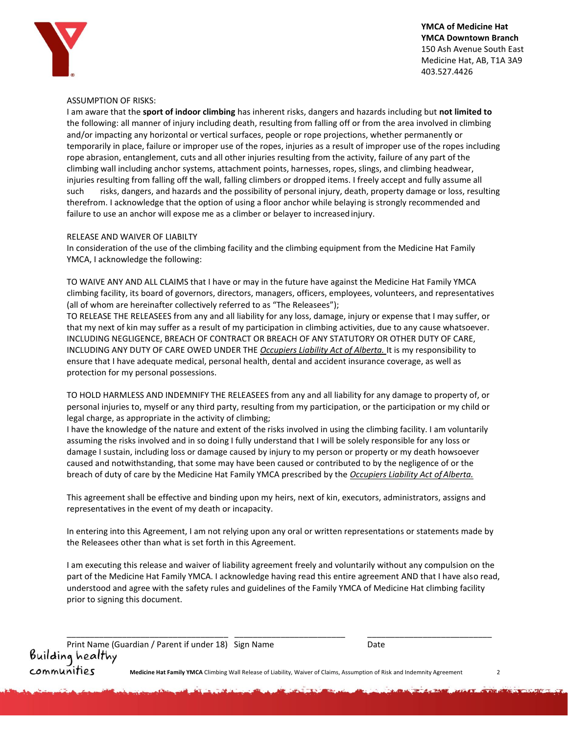

**YMCA of Medicine Hat YMCA Downtown Branch**  150 Ash Avenue South East Medicine Hat, AB, T1A 3A9 403.527.4426

#### ASSUMPTION OF RISKS:

I am aware that the **sport of indoor climbing** has inherent risks, dangers and hazards including but **not limited to**  the following: all manner of injury including death, resulting from falling off or from the area involved in climbing and/or impacting any horizontal or vertical surfaces, people or rope projections, whether permanently or temporarily in place, failure or improper use of the ropes, injuries as a result of improper use of the ropes including rope abrasion, entanglement, cuts and all other injuries resulting from the activity, failure of any part of the climbing wall including anchor systems, attachment points, harnesses, ropes, slings, and climbing headwear, injuries resulting from falling off the wall, falling climbers or dropped items. I freely accept and fully assume all such risks, dangers, and hazards and the possibility of personal injury, death, property damage or loss, resulting therefrom. I acknowledge that the option of using a floor anchor while belaying is strongly recommended and failure to use an anchor will expose me as a climber or belayer to increasedinjury.

#### RELEASE AND WAIVER OF LIABILTY

In consideration of the use of the climbing facility and the climbing equipment from the Medicine Hat Family YMCA, I acknowledge the following:

TO WAIVE ANY AND ALL CLAIMS that I have or may in the future have against the Medicine Hat Family YMCA climbing facility, its board of governors, directors, managers, officers, employees, volunteers, and representatives (all of whom are hereinafter collectively referred to as "The Releasees");

TO RELEASE THE RELEASEES from any and all liability for any loss, damage, injury or expense that I may suffer, or that my next of kin may suffer as a result of my participation in climbing activities, due to any cause whatsoever. INCLUDING NEGLIGENCE, BREACH OF CONTRACT OR BREACH OF ANY STATUTORY OR OTHER DUTY OF CARE, INCLUDING ANY DUTY OF CARE OWED UNDER THE *Occupiers Liability Act of Alberta.* It is my responsibility to ensure that I have adequate medical, personal health, dental and accident insurance coverage, as well as protection for my personal possessions.

TO HOLD HARMLESS AND INDEMNIFY THE RELEASEES from any and all liability for any damage to property of, or personal injuries to, myself or any third party, resulting from my participation, or the participation or my child or legal charge, as appropriate in the activity of climbing;

I have the knowledge of the nature and extent of the risks involved in using the climbing facility. I am voluntarily assuming the risks involved and in so doing I fully understand that I will be solely responsible for any loss or damage I sustain, including loss or damage caused by injury to my person or property or my death howsoever caused and notwithstanding, that some may have been caused or contributed to by the negligence of or the breach of duty of care by the Medicine Hat Family YMCA prescribed by the *Occupiers Liability Act of Alberta.*

This agreement shall be effective and binding upon my heirs, next of kin, executors, administrators, assigns and representatives in the event of my death or incapacity.

In entering into this Agreement, I am not relying upon any oral or written representations or statements made by the Releasees other than what is set forth in this Agreement.

I am executing this release and waiver of liability agreement freely and voluntarily without any compulsion on the part of the Medicine Hat Family YMCA. I acknowledge having read this entire agreement AND that I have also read, understood and agree with the safety rules and guidelines of the Family YMCA of Medicine Hat climbing facility prior to signing this document.

**COMMUNITIES** Medicine Hat Family YMCA Climbing Wall Release of Liability, Waiver of Claims, Assumption of Risk and Indemnity Agreement 2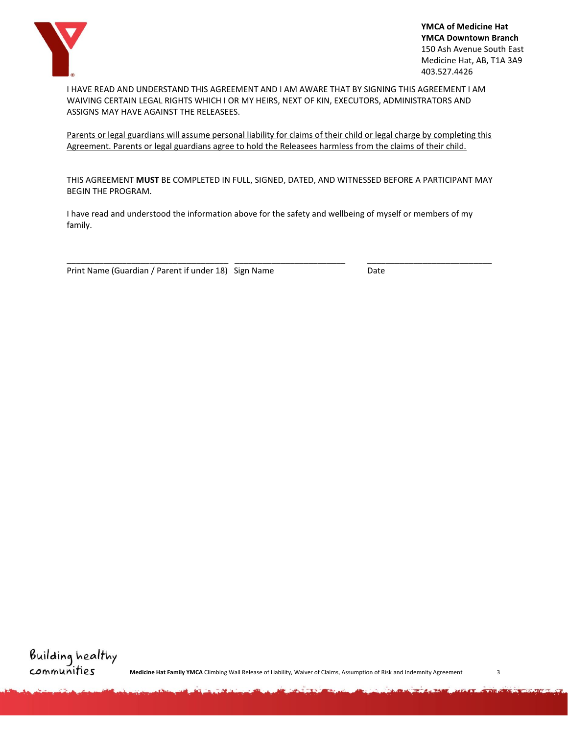

**YMCA of Medicine Hat YMCA Downtown Branch**  150 Ash Avenue South East Medicine Hat, AB, T1A 3A9 403.527.4426

I HAVE READ AND UNDERSTAND THIS AGREEMENT AND I AM AWARE THAT BY SIGNING THIS AGREEMENT I AM WAIVING CERTAIN LEGAL RIGHTS WHICH I OR MY HEIRS, NEXT OF KIN, EXECUTORS, ADMINISTRATORS AND ASSIGNS MAY HAVE AGAINST THE RELEASEES.

Parents or legal guardians will assume personal liability for claims of their child or legal charge by completing this Agreement. Parents or legal guardians agree to hold the Releasees harmless from the claims of their child.

THIS AGREEMENT **MUST** BE COMPLETED IN FULL, SIGNED, DATED, AND WITNESSED BEFORE A PARTICIPANT MAY BEGIN THE PROGRAM.

\_\_\_\_\_\_\_\_\_\_\_\_\_\_\_\_\_\_\_\_\_\_\_\_\_\_\_\_\_\_\_\_\_\_\_ \_\_\_\_\_\_\_\_\_\_\_\_\_\_\_\_\_\_\_\_\_\_\_\_ \_\_\_\_\_\_\_\_\_\_\_\_\_\_\_\_\_\_\_\_\_\_\_\_\_\_\_

I have read and understood the information above for the safety and wellbeing of myself or members of my family.

Print Name (Guardian / Parent if under 18) Sign Name Date